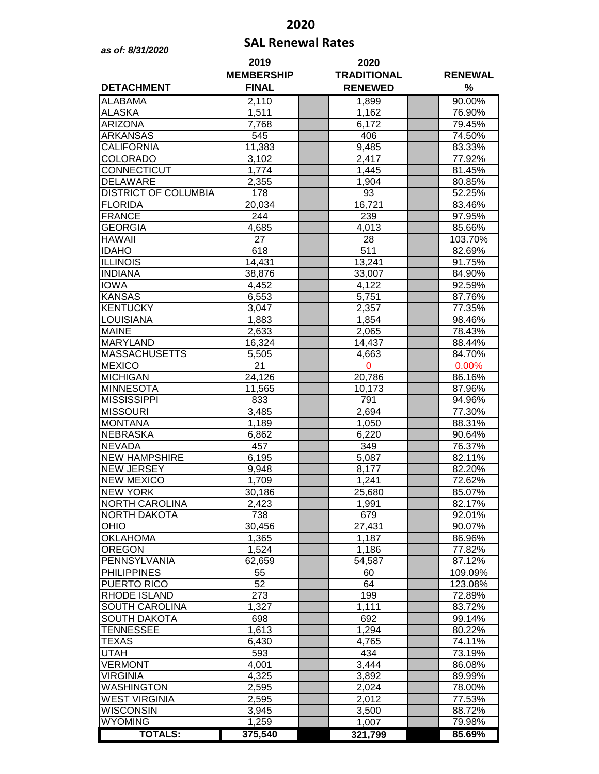## **2020**

## **SAL Renewal Rates** *as of: 8/31/2020*

| <b>DETACHMENT</b>                | 2019<br><b>MEMBERSHIP</b><br><b>FINAL</b> | 2020<br><b>TRADITIONAL</b><br><b>RENEWED</b> | <b>RENEWAL</b><br>$\%$ |
|----------------------------------|-------------------------------------------|----------------------------------------------|------------------------|
| <b>ALABAMA</b>                   | 2,110                                     | 1,899                                        | 90.00%                 |
| ALASKA                           | 1,511                                     | 1,162                                        | 76.90%                 |
| <b>ARIZONA</b>                   | 7,768                                     | 6,172                                        | 79.45%                 |
| <b>ARKANSAS</b>                  | 545                                       | 406                                          | 74.50%                 |
| <b>CALIFORNIA</b>                | 11,383                                    | 9,485                                        | 83.33%                 |
| <b>COLORADO</b>                  | 3,102                                     | 2,417                                        | 77.92%                 |
| CONNECTICUT                      | 1,774                                     | 1,445                                        | 81.45%                 |
| <b>DELAWARE</b>                  | 2,355                                     | 1,904                                        | 80.85%                 |
| <b>DISTRICT OF COLUMBIA</b>      | 178                                       | 93                                           | 52.25%                 |
| <b>FLORIDA</b>                   | 20,034                                    | 16,721                                       | 83.46%                 |
| <b>FRANCE</b>                    | 244                                       | 239                                          | 97.95%                 |
| <b>GEORGIA</b>                   | 4,685                                     | 4,013                                        | 85.66%                 |
| <b>HAWAII</b>                    | $\overline{27}$                           | 28                                           | 103.70%                |
| <b>IDAHO</b>                     | 618                                       | 511                                          | 82.69%                 |
| <b>ILLINOIS</b>                  | 14,431                                    | 13,241                                       | 91.75%                 |
| <b>INDIANA</b>                   | 38,876                                    | 33,007                                       | 84.90%                 |
| <b>IOWA</b>                      | 4,452                                     | 4,122                                        | 92.59%                 |
| <b>KANSAS</b><br><b>KENTUCKY</b> | 6,553                                     | 5,751                                        | 87.76%                 |
| <b>LOUISIANA</b>                 | 3,047<br>1,883                            | 2,357<br>1,854                               | 77.35%<br>98.46%       |
| <b>MAINE</b>                     | 2,633                                     | 2,065                                        | 78.43%                 |
| <b>MARYLAND</b>                  | 16,324                                    | 14,437                                       | 88.44%                 |
| <b>MASSACHUSETTS</b>             | 5,505                                     | 4,663                                        | 84.70%                 |
| <b>MEXICO</b>                    | 21                                        | 0                                            | 0.00%                  |
| <b>MICHIGAN</b>                  | 24,126                                    | 20,786                                       | 86.16%                 |
| <b>MINNESOTA</b>                 | 11,565                                    | 10,173                                       | 87.96%                 |
| <b>MISSISSIPPI</b>               | 833                                       | 791                                          | 94.96%                 |
| <b>MISSOURI</b>                  | 3,485                                     | 2,694                                        | 77.30%                 |
| <b>MONTANA</b>                   | 1,189                                     | 1,050                                        | 88.31%                 |
| <b>NEBRASKA</b>                  | 6,862                                     | 6,220                                        | 90.64%                 |
| <b>NEVADA</b>                    | 457                                       | 349                                          | 76.37%                 |
| <b>NEW HAMPSHIRE</b>             | 6,195                                     | 5,087                                        | 82.11%                 |
| <b>NEW JERSEY</b>                | 9,948                                     | 8,177                                        | 82.20%                 |
| <b>NEW MEXICO</b>                | 1,709                                     | 1,241                                        | 72.62%                 |
| <b>NEW YORK</b>                  | 30,186                                    | 25,680                                       | 85.07%                 |
| <b>NORTH CAROLINA</b>            | 2,423                                     | 1,991                                        | 82.17%                 |
| <b>NORTH DAKOTA</b>              | 738                                       | 679                                          | 92.01%                 |
| OHIO                             | 30,456                                    | 27,431                                       | 90.07%                 |
| <b>OKLAHOMA</b>                  | 1,365                                     | 1,187                                        | 86.96%                 |
| <b>OREGON</b><br>PENNSYLVANIA    | 1,524                                     | 1,186                                        | 77.82%<br>87.12%       |
| <b>PHILIPPINES</b>               | 62,659<br>55                              | 54,587<br>60                                 | 109.09%                |
| PUERTO RICO                      | 52                                        | 64                                           | 123.08%                |
| RHODE ISLAND                     | 273                                       | 199                                          | 72.89%                 |
| <b>SOUTH CAROLINA</b>            | 1,327                                     | 1,111                                        | 83.72%                 |
| <b>SOUTH DAKOTA</b>              | 698                                       | 692                                          | 99.14%                 |
| <b>TENNESSEE</b>                 | 1,613                                     | 1,294                                        | 80.22%                 |
| <b>TEXAS</b>                     | 6,430                                     | 4,765                                        | 74.11%                 |
| <b>UTAH</b>                      | 593                                       | 434                                          | 73.19%                 |
| <b>VERMONT</b>                   | 4,001                                     | 3,444                                        | 86.08%                 |
| <b>VIRGINIA</b>                  | 4,325                                     | 3,892                                        | 89.99%                 |
| WASHINGTON                       | 2,595                                     | 2,024                                        | 78.00%                 |
| <b>WEST VIRGINIA</b>             | 2,595                                     | 2,012                                        | 77.53%                 |
| WISCONSIN                        | 3,945                                     | 3,500                                        | 88.72%                 |
| <b>WYOMING</b>                   | 1,259                                     | 1,007                                        | 79.98%                 |
| <b>TOTALS:</b>                   | 375,540                                   | 321,799                                      | 85.69%                 |